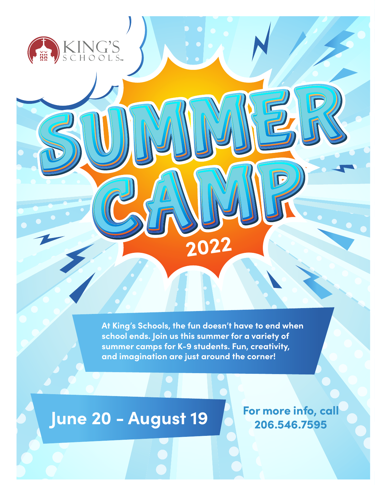**At King's Schools, the fun doesn't have to end when school ends. Join us this summer for a variety of summer camps for K-9 students. Fun, creativity, and imagination are just around the corner!**

**2022**

## **June 20 - August 19**

KING'S

**For more info, call 206.546.7595**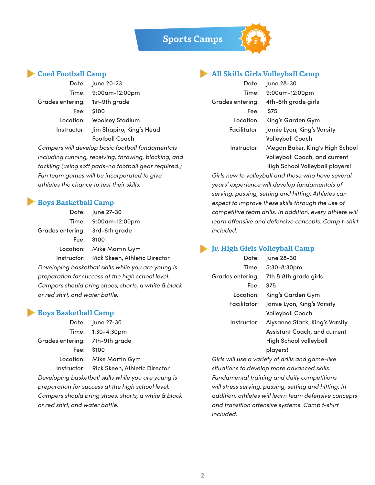**Sports Camps**

#### **Coed Football Camp**

|                                | Date: June 20-23                     |
|--------------------------------|--------------------------------------|
|                                | Time: 9:00am-12:00pm                 |
| Grades entering: 1st-9th grade |                                      |
|                                | Fee: $$100$                          |
|                                | Location: Woolsey Stadium            |
|                                | Instructor: Jim Shapiro, King's Head |
|                                | <b>Football Coach</b>                |
|                                |                                      |

*Campers will develop basic football fundamentals including running, receiving, throwing, blocking, and tackling (using soft pads-no football gear required.) Fun team games will be incorporated to give athletes the chance to test their skills.*

#### **Boys Basketball Camp**

|                                | Date: June 27-30                          |
|--------------------------------|-------------------------------------------|
|                                | Time: 9:00am-12:00pm                      |
| Grades entering: 3rd-6th grade |                                           |
|                                | Fee: \$100                                |
|                                | Location: Mike Martin Gym                 |
|                                | Instructor: Rick Skeen, Athletic Director |

*Developing basketball skills while you are young is preparation for success at the high school level. Campers should bring shoes, shorts, a white & black or red shirt, and water bottle.*

#### **Boys Basketball Camp**

|                                                     | Date: June 27-30                          |  |
|-----------------------------------------------------|-------------------------------------------|--|
|                                                     | Time: 1:30-4:30pm                         |  |
| Grades entering: 7th-9th grade                      |                                           |  |
| Fee: I                                              | \$100                                     |  |
|                                                     | Location: Mike Martin Gym                 |  |
|                                                     | Instructor: Rick Skeen, Athletic Director |  |
| Developing basketball skills while you are young is |                                           |  |
| preparation for success at the high school level.   |                                           |  |
| Campers should bring shoes, shorts, a white & black |                                           |  |
| or red shirt, and water bottle.                     |                                           |  |

#### **All Skills Girls Volleyball Camp**

|              | Date: June 28-30                     |
|--------------|--------------------------------------|
|              | Time: 9:00am-12:00pm                 |
|              | Grades entering: 4th-6th grade girls |
| Fee:         | <b>S75</b>                           |
| Location:    | King's Garden Gym                    |
| Facilitator: | Jamie Lyon, King's Varsity           |
|              | <b>Volleyball Coach</b>              |
| Instructor:  | Megan Baker, King's High School      |
|              | Volleyball Coach, and current        |
|              | High School Volleyball players!      |

*Girls new to volleyball and those who have several years' experience will develop fundamentals of serving, passing, setting and hitting. Athletes can expect to improve these skills through the use of competitive team drills. In addition, every athlete will learn offensive and defensive concepts. Camp t-shirt included.*

#### **Jr. High Girls Volleyball Camp**

| Date:        | June 28-30                                 |
|--------------|--------------------------------------------|
|              | Time: 5:30-8:30pm                          |
|              | Grades entering: 7th & 8th grade girls     |
| Fee:         | \$75                                       |
| Location:    | King's Garden Gym                          |
| Facilitator: | Jamie Lyon, King's Varsity                 |
|              | Volleyball Coach                           |
|              | Instructor: Alysanne Stack, King's Varsity |
|              | Assistant Coach, and current               |
|              | High School volleyball                     |
|              | players!                                   |
|              |                                            |

*Girls will use a variety of drills and game-like situations to develop more advanced skills. Fundamental training and daily competitions will stress serving, passing, setting and hitting. In addition, athletes will learn team defensive concepts and transition offensive systems. Camp t-shirt included.*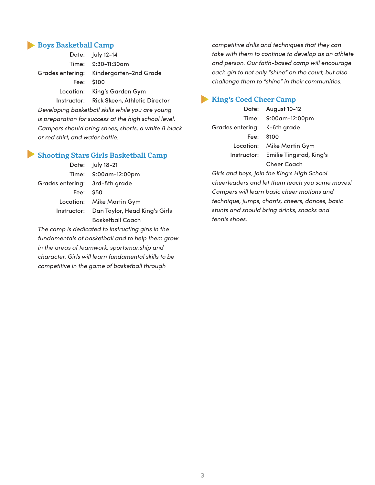#### **Boys Basketball Camp**

| Date: July 12-14                          |
|-------------------------------------------|
| Time: 9:30-11:30am                        |
| Grades entering: Kindergarten-2nd Grade   |
| Fee: \$100                                |
| Location: King's Garden Gym               |
| Instructor: Rick Skeen, Athletic Director |

*Developing basketball skills while you are young is preparation for success at the high school level. Campers should bring shoes, shorts, a white & black or red shirt, and water bottle.*

#### **Shooting Stars Girls Basketball Camp**

|                                | Date: July 18-21                          |
|--------------------------------|-------------------------------------------|
|                                | Time: 9:00am-12:00pm                      |
| Grades entering: 3rd-8th grade |                                           |
| Fee: \$50                      |                                           |
|                                | Location: Mike Martin Gym                 |
|                                | Instructor: Dan Taylor, Head King's Girls |
|                                | <b>Basketball Coach</b>                   |

*The camp is dedicated to instructing girls in the fundamentals of basketball and to help them grow in the areas of teamwork, sportsmanship and character. Girls will learn fundamental skills to be competitive in the game of basketball through* 

*competitive drills and techniques that they can take with them to continue to develop as an athlete and person. Our faith-based camp will encourage each girl to not only "shine" on the court, but also challenge them to "shine" in their communities.*

#### **King's Coed Cheer Camp**

Date: August 10-12 Grades entering: K-6th grade Fee: \$100

Time: 9:00am-12:00pm Location: Mike Martin Gym Instructor: Emilie Tingstad, King's Cheer Coach

*Girls and boys, join the King's High School cheerleaders and let them teach you some moves! Campers will learn basic cheer motions and technique, jumps, chants, cheers, dances, basic stunts and should bring drinks, snacks and tennis shoes.*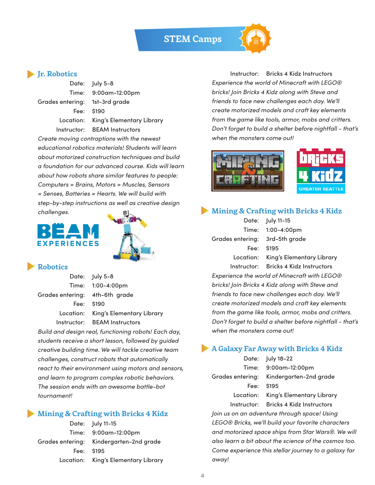#### **STEM Camps**



Grades entering: 1st-3rd grade

Date: July 5-8 Time: 9:00am-12:00pm Fee: \$190 Location: King's Elementary Library Instructor: BEAM Instructors

*Create moving contraptions with the newest educational robotics materials! Students will learn about motorized construction techniques and build a foundation for our advanced course. Kids will learn about how robots share similar features to people: Computers = Brains, Motors = Muscles, Sensors = Senses, Batteries = Hearts. We will build with step-by-step instructions as well as creative design challenges.*

# **EXPERIENCES**



#### **Robotics**

|                                | Date: July 5-8                      |
|--------------------------------|-------------------------------------|
|                                | Time: 1:00-4:00pm                   |
| Grades entering: 4th-6th grade |                                     |
|                                | Fee: \$190                          |
|                                | Location: King's Elementary Library |
|                                | Instructor: BEAM Instructors        |

*Build and design real, functioning robots! Each day, students receive a short lesson, followed by guided creative building time. We will tackle creative team challenges, construct robots that automatically react to their environment using motors and sensors, and learn to program complex robotic behaviors. The session ends with an awesome battle-bot tournament!*

#### **Mining & Crafting with Bricks 4 Kidz**

| Date: July 11-15                        |
|-----------------------------------------|
| Time: 9:00am-12:00pm                    |
| Grades entering: Kindergarten-2nd grade |
| Fee: \$195                              |
| Location: King's Elementary Library     |

Instructor: Bricks 4 Kidz Instructors *Experience the world of Minecraft with LEGO® bricks! Join Bricks 4 Kidz along with Steve and friends to face new challenges each day. We'll create motorized models and craft key elements from the game like tools, armor, mobs and critters. Don't forget to build a shelter before nightfall - that's when the monsters come out!*





#### **Mining & Crafting with Bricks 4 Kidz**

|                                | Date: July 11-15                               |
|--------------------------------|------------------------------------------------|
|                                | Time: 1:00-4:00pm                              |
| Grades entering: 3rd-5th grade |                                                |
|                                | Fee: \$195                                     |
|                                | Location: King's Elementary Library            |
|                                | Instructor: Bricks 4 Kidz Instructors          |
|                                | Experience the world of Minecraft with LEGO®   |
|                                | briokel Lein Drieke 1 Vid-alena with Cteve and |

*bricks! Join Bricks 4 Kidz along with Steve and friends to face new challenges each day. We'll create motorized models and craft key elements from the game like tools, armor, mobs and critters. Don't forget to build a shelter before nightfall - that's when the monsters come out!*

#### **A Galaxy Far Away with Bricks 4 Kidz**

|                                              | Date: July 18-22                                                     |  |
|----------------------------------------------|----------------------------------------------------------------------|--|
|                                              | Time: 9:00am-12:00pm                                                 |  |
| Grades entering:                             | Kindergarten-2nd grade                                               |  |
| Fee:                                         | \$195                                                                |  |
|                                              | Location: King's Elementary Library                                  |  |
|                                              | Instructor: Bricks 4 Kidz Instructors                                |  |
| Join us on an adventure through space! Using |                                                                      |  |
|                                              | LEGO® Bricks, we'll build your favorite characters                   |  |
|                                              | and motorized space ships from Star Wars®. We will                   |  |
|                                              | $\alpha$ leo logra $\alpha$ bit about the science of the cosmes too. |  |

*also learn a bit about the science of the cosmos too. Come experience this stellar journey to a galaxy far away!*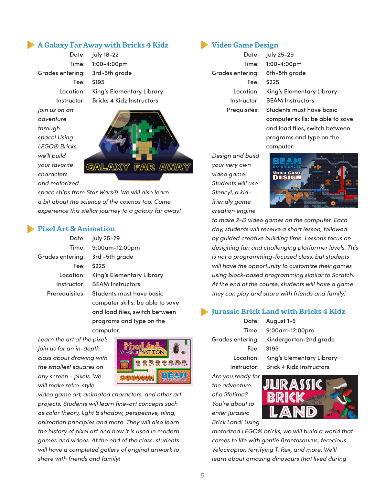#### **A Galaxy Far Away with Bricks 4 Kidz**

Grades entering: 3rd-5th grade

*Join us on an adventure through space! Using LEGO® Bricks, we'll build your favorite characters and motorized* 





*space ships from Star Wars®. We will also learn a bit about the science of the cosmos too. Come experience this stellar journey to a galaxy far away!*

#### **Pixel Art & Animation**

|                                 | Date: July 25-29                 |
|---------------------------------|----------------------------------|
|                                 | Time: 9:00am-12:00pm             |
| Grades entering: 3rd -5th grade |                                  |
|                                 | Fee: \$225                       |
| Location:                       | King's Elementary Library        |
|                                 | Instructor: BEAM Instructors     |
| Prerequisites:                  | Students must have basic         |
|                                 | computer skills: be able to save |
|                                 | and load files, switch between   |

computer.

programs and type on the

*Learn the art of the pixel! Join us for an in-depth class about drawing with the smallest squares on any screen - pixels. We will make retro-style* 



*video game art, animated characters, and other art projects. Students will learn fine-art concepts such as color theory, light & shadow, perspective, tiling, animation principles and more. They will also learn the history of pixel art and how it is used in modern games and videos. At the end of the class, students will have a completed gallery of original artwork to share with friends and family!*

#### **Video Game Design**

Grades entering: 6th-8th grade Fee: \$225

Date: July 25-29 Time: 1:00-4:00pm Location: King's Elementary Library Instructor: BEAM Instructors Prequisites: Students must have basic computer skills: be able to save and load files, switch between programs and type on the computer.

*Design and build your very own video game! Students will use Stencyl, a kidfriendly game creation engine* 



*to make 2-D video games on the computer. Each day, students will receive a short lesson, followed by guided creative building time. Lessons focus on designing fun and challenging platformer levels. This is not a programming-focused class, but students will have the opportunity to customize their games using block-based programming similar to Scratch. At the end of the course, students will have a game they can play and share with friends and family!*

#### **Jurassic Brick Land with Bricks 4 Kidz**

*Are you ready for* 

Date: August 1-5 Time: 9:00am-12:00pm Grades entering: Kindergarten-2nd grade Fee: \$195 Location: King's Elementary Library Instructor: Brick 4 Kidz Instructors

*the adventure of a lifetime? You're about to enter Jurassic Brick Land! Using* 



*motorized LEGO® bricks, we will build a world that comes to life with gentle Brontosaurus, ferocious Velociraptor, terrifying T. Rex, and more. We'll learn about amazing dinosaurs that lived during*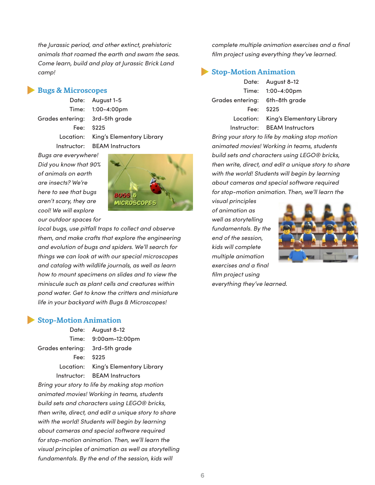*the Jurassic period, and other extinct, prehistoric animals that roamed the earth and swam the seas. Come learn, build and play at Jurassic Brick Land camp!*

#### **Bugs & Microscopes**

Date: August 1-5 Grades entering: 3rd-5th grade Fee: \$225

Time: 1:00-4:00pm Location: King's Elementary Library Instructor: BEAM Instructors

*Bugs are everywhere! Did you know that 90% of animals on earth are insects? We're here to see that bugs aren't scary, they are cool! We will explore our outdoor spaces for* 



*local bugs, use pitfall traps to collect and observe them, and make crafts that explore the engineering and evolution of bugs and spiders. We'll search for things we can look at with our special microscopes and catalog with wildlife journals, as well as learn how to mount specimens on slides and to view the miniscule such as plant cells and creatures within pond water. Get to know the critters and miniature life in your backyard with Bugs & Microscopes!*

#### **Stop-Motion Animation**

|                                    | Date: August 8-12                   |
|------------------------------------|-------------------------------------|
|                                    | Time: 9:00am-12:00pm                |
| Grades entering:     3rd-5th grade |                                     |
|                                    | Fee: \$225                          |
|                                    | Location: King's Elementary Library |
|                                    | Instructor: BEAM Instructors        |

*Bring your story to life by making stop motion animated movies! Working in teams, students build sets and characters using LEGO® bricks, then write, direct, and edit a unique story to share with the world! Students will begin by learning about cameras and special software required for stop-motion animation. Then, we'll learn the visual principles of animation as well as storytelling fundamentals. By the end of the session, kids will* 

*complete multiple animation exercises and a final film project using everything they've learned.*

#### **Stop-Motion Animation**

Grades entering: 6th-8th grade Fee: \$225

Date: August 8-12 Time: 1:00-4:00pm Location: King's Elementary Library Instructor: BEAM Instructors

*Bring your story to life by making stop motion animated movies! Working in teams, students build sets and characters using LEGO® bricks, then write, direct, and edit a unique story to share with the world! Students will begin by learning about cameras and special software required for stop-motion animation. Then, we'll learn the* 

*visual principles of animation as well as storytelling fundamentals. By the end of the session, kids will complete multiple animation exercises and a final film project using everything they've learned*.



**6**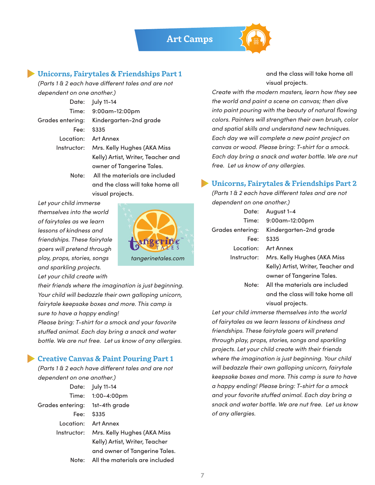

#### **Unicorns, Fairytales & Friendships Part 1**

*(Parts 1 & 2 each have different tales and are not dependent on one another.)*

|             | Date: July 11-14                        |
|-------------|-----------------------------------------|
|             | Time: 9:00am-12:00pm                    |
|             | Grades entering: Kindergarten-2nd grade |
| Fee:        | \$335                                   |
| Location:   | Art Annex                               |
| Instructor: | Mrs. Kelly Hughes (AKA Miss             |
|             | Kelly) Artist, Writer, Teacher and      |
|             | owner of Tangerine Tales.               |
| Note: .     | All the materials are included          |
|             | and the class will take home all        |

visual projects.

*Let your child immerse themselves into the world of fairytales as we learn lessons of kindness and friendships. These fairytale goers will pretend through play, props, stories, songs and sparkling projects. Let your child create with* 



*their friends where the imagination is just beginning. Your child will bedazzle their own galloping unicorn, fairytale keepsake boxes and more. This camp is sure to have a happy ending!*

*Please bring: T-shirt for a smock and your favorite stuffed animal. Each day bring a snack and water bottle. We are nut free. Let us know of any allergies.*

#### **Creative Canvas & Paint Pouring Part 1**

*(Parts 1 & 2 each have different tales and are not dependent on one another.)*

|                                | Date: July 11-14                        |
|--------------------------------|-----------------------------------------|
|                                | Time: 1:00-4:00pm                       |
| Grades entering: 1st-4th grade |                                         |
| Fee:                           | \$335                                   |
|                                | Location: Art Annex                     |
|                                | Instructor: Mrs. Kelly Hughes (AKA Miss |
|                                | Kelly) Artist, Writer, Teacher          |
|                                | and owner of Tangerine Tales.           |
|                                | Note: All the materials are included    |

and the class will take home all visual projects.

*Create with the modern masters, learn how they see the world and paint a scene on canvas; then dive into paint pouring with the beauty of natural flowing colors. Painters will strengthen their own brush, color and spatial skills and understand new techniques. Each day we will complete a new paint project on canvas or wood. Please bring: T-shirt for a smock. Each day bring a snack and water bottle. We are nut free. Let us know of any allergies.*

#### **Unicorns, Fairytales & Friendships Part 2**

*(Parts 1 & 2 each have different tales and are not dependent on one another.)*

| Date:            | August 1-4                         |
|------------------|------------------------------------|
| Time:            | 9:00am-12:00pm                     |
| Grades entering: | Kindergarten-2nd grade             |
| Fee:             | \$335                              |
| Location:        | Art Annex                          |
| Instructor:      | Mrs. Kelly Hughes (AKA Miss        |
|                  | Kelly) Artist, Writer, Teacher and |
|                  | owner of Tangerine Tales.          |
| Note:            | All the materials are included     |
|                  | and the class will take home all   |
|                  | visual projects.                   |

*Let your child immerse themselves into the world of fairytales as we learn lessons of kindness and friendships. These fairytale goers will pretend through play, props, stories, songs and sparkling projects. Let your child create with their friends where the imagination is just beginning. Your child will bedazzle their own galloping unicorn, fairytale keepsake boxes and more. This camp is sure to have a happy ending! Please bring: T-shirt for a smock and your favorite stuffed animal. Each day bring a snack and water bottle. We are nut free. Let us know of any allergies.*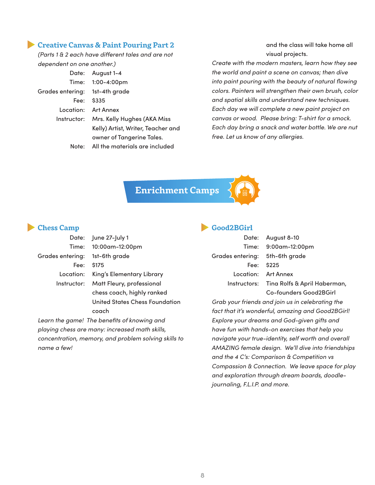#### **Creative Canvas & Paint Pouring Part 2**

*(Parts 1 & 2 each have different tales and are not dependent on one another.)*

|                                | Date: August 1-4                        |
|--------------------------------|-----------------------------------------|
|                                | Time: 1:00-4:00pm                       |
| Grades entering: 1st-4th grade |                                         |
|                                | Fee: \$335                              |
|                                | Location: Art Annex                     |
|                                | Instructor: Mrs. Kelly Hughes (AKA Miss |
|                                | Kelly) Artist, Writer, Teacher and      |
|                                | owner of Tangerine Tales.               |
|                                | Note: All the materials are included    |

and the class will take home all visual projects.

*Create with the modern masters, learn how they see the world and paint a scene on canvas; then dive into paint pouring with the beauty of natural flowing colors. Painters will strengthen their own brush, color and spatial skills and understand new techniques. Each day we will complete a new paint project on canvas or wood. Please bring: T-shirt for a smock. Each day bring a snack and water bottle. We are nut free. Let us know of any allergies.*

**Enrichment Camps**

#### **Chess Camp**

|                                | Date: June 27-July 1                  |
|--------------------------------|---------------------------------------|
|                                | Time: 10:00am-12:00pm                 |
| Grades entering: 1st-6th grade |                                       |
|                                | Fee: \$175                            |
|                                | Location: King's Elementary Library   |
|                                | Instructor: Matt Fleury, professional |
|                                | chess coach, highly ranked            |
|                                | United States Chess Foundation        |

*Learn the game! The benefits of knowing and playing chess are many: increased math skills, concentration, memory, and problem solving skills to name a few!*

coach

#### **Good2BGirl**

| Date: Au         |                |
|------------------|----------------|
| Time:            | 9:0            |
| Grades entering: | 5 <sup>†</sup> |
| Fee: \$2         |                |
| Location: Ar     |                |
| Instructors: Tir |                |
|                  |                |

Date: August 8-10 00am-12:00pm h-6th grade  $25$ t Annex na Rolfs & April Haberman, Co-founders Good2BGirl

*Grab your friends and join us in celebrating the fact that it's wonderful, amazing and Good2BGirl! Explore your dreams and God-given gifts and have fun with hands-on exercises that help you navigate your true-identity, self worth and overall AMAZING female design. We'll dive into friendships and the 4 C's: Comparison & Competition vs Compassion & Connection. We leave space for play and exploration through dream boards, doodlejournaling, F.L.I.P. and more.*